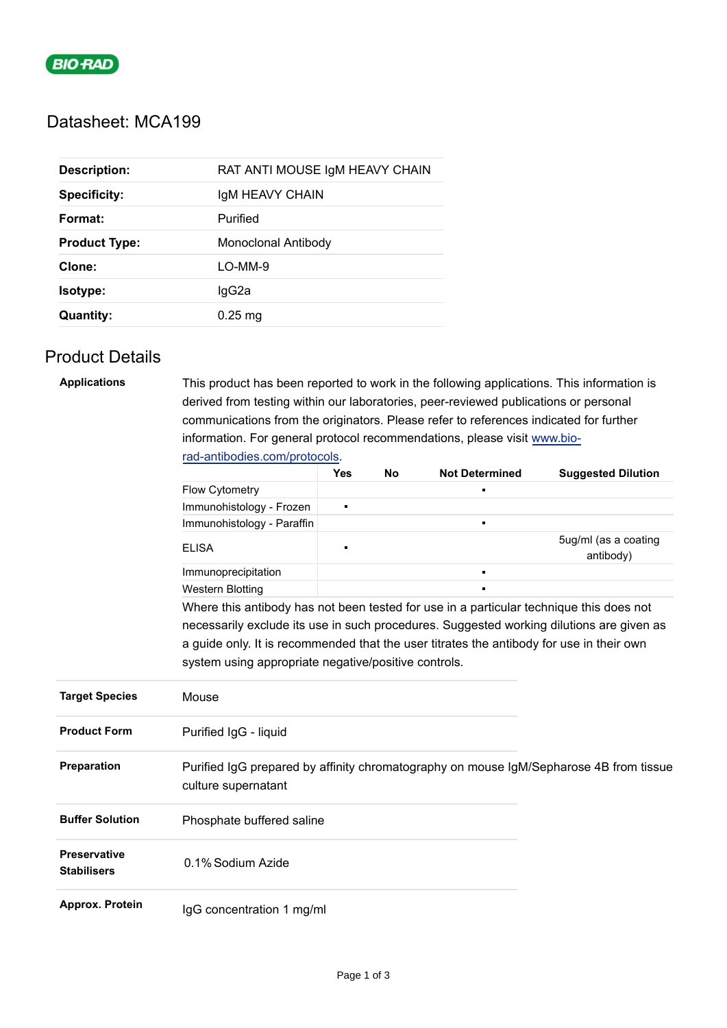

## Datasheet: MCA199

| <b>Description:</b>  | RAT ANTI MOUSE IGM HEAVY CHAIN |
|----------------------|--------------------------------|
| <b>Specificity:</b>  | IgM HEAVY CHAIN                |
| Format:              | Purified                       |
| <b>Product Type:</b> | Monoclonal Antibody            |
| Clone:               | LO-MM-9                        |
| Isotype:             | lgG2a                          |
| <b>Quantity:</b>     | $0.25$ mg                      |

## Product Details

| <b>Applications</b>                       | This product has been reported to work in the following applications. This information is                     |     |    |                       |                                   |  |
|-------------------------------------------|---------------------------------------------------------------------------------------------------------------|-----|----|-----------------------|-----------------------------------|--|
|                                           | derived from testing within our laboratories, peer-reviewed publications or personal                          |     |    |                       |                                   |  |
|                                           | communications from the originators. Please refer to references indicated for further                         |     |    |                       |                                   |  |
|                                           | information. For general protocol recommendations, please visit www.bio-                                      |     |    |                       |                                   |  |
|                                           | rad-antibodies.com/protocols.                                                                                 |     |    |                       |                                   |  |
|                                           |                                                                                                               | Yes | No | <b>Not Determined</b> | <b>Suggested Dilution</b>         |  |
|                                           | Flow Cytometry                                                                                                |     |    |                       |                                   |  |
|                                           | Immunohistology - Frozen                                                                                      | ×   |    |                       |                                   |  |
|                                           | Immunohistology - Paraffin                                                                                    |     |    | $\blacksquare$        |                                   |  |
|                                           | <b>ELISA</b>                                                                                                  | п   |    |                       | 5ug/ml (as a coating<br>antibody) |  |
|                                           | Immunoprecipitation                                                                                           |     |    | $\blacksquare$        |                                   |  |
|                                           | <b>Western Blotting</b>                                                                                       |     |    |                       |                                   |  |
|                                           | Where this antibody has not been tested for use in a particular technique this does not                       |     |    |                       |                                   |  |
|                                           | necessarily exclude its use in such procedures. Suggested working dilutions are given as                      |     |    |                       |                                   |  |
|                                           | a guide only. It is recommended that the user titrates the antibody for use in their own                      |     |    |                       |                                   |  |
|                                           | system using appropriate negative/positive controls.                                                          |     |    |                       |                                   |  |
| <b>Target Species</b>                     | Mouse                                                                                                         |     |    |                       |                                   |  |
| <b>Product Form</b>                       | Purified IgG - liquid                                                                                         |     |    |                       |                                   |  |
| Preparation                               | Purified IgG prepared by affinity chromatography on mouse IgM/Sepharose 4B from tissue<br>culture supernatant |     |    |                       |                                   |  |
| <b>Buffer Solution</b>                    | Phosphate buffered saline                                                                                     |     |    |                       |                                   |  |
| <b>Preservative</b><br><b>Stabilisers</b> | 0.1% Sodium Azide                                                                                             |     |    |                       |                                   |  |
| Approx. Protein                           | IgG concentration 1 mg/ml                                                                                     |     |    |                       |                                   |  |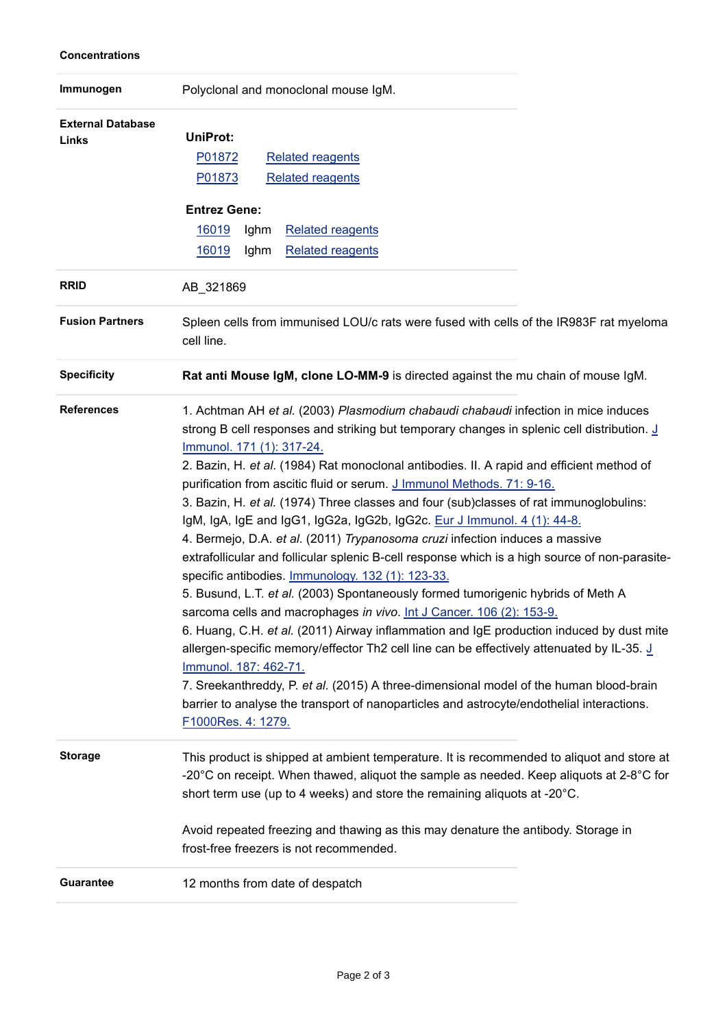#### **Concentrations**

| Immunogen                         | Polyclonal and monoclonal mouse IgM.                                                                                                                                                                                                                                                                                                                                                                                                                                                                                                                                                                                                                                                                                                                                                                                                                                                                                                                                                                                                                                                                                                                                                                                                                                                                                                                                                         |  |  |  |
|-----------------------------------|----------------------------------------------------------------------------------------------------------------------------------------------------------------------------------------------------------------------------------------------------------------------------------------------------------------------------------------------------------------------------------------------------------------------------------------------------------------------------------------------------------------------------------------------------------------------------------------------------------------------------------------------------------------------------------------------------------------------------------------------------------------------------------------------------------------------------------------------------------------------------------------------------------------------------------------------------------------------------------------------------------------------------------------------------------------------------------------------------------------------------------------------------------------------------------------------------------------------------------------------------------------------------------------------------------------------------------------------------------------------------------------------|--|--|--|
| <b>External Database</b><br>Links | UniProt:<br>P01872<br><b>Related reagents</b><br>P01873<br><b>Related reagents</b>                                                                                                                                                                                                                                                                                                                                                                                                                                                                                                                                                                                                                                                                                                                                                                                                                                                                                                                                                                                                                                                                                                                                                                                                                                                                                                           |  |  |  |
|                                   | <b>Entrez Gene:</b><br>16019<br>Ighm<br><b>Related reagents</b><br>16019<br>Ighm<br><b>Related reagents</b>                                                                                                                                                                                                                                                                                                                                                                                                                                                                                                                                                                                                                                                                                                                                                                                                                                                                                                                                                                                                                                                                                                                                                                                                                                                                                  |  |  |  |
| <b>RRID</b>                       | AB_321869                                                                                                                                                                                                                                                                                                                                                                                                                                                                                                                                                                                                                                                                                                                                                                                                                                                                                                                                                                                                                                                                                                                                                                                                                                                                                                                                                                                    |  |  |  |
| <b>Fusion Partners</b>            | Spleen cells from immunised LOU/c rats were fused with cells of the IR983F rat myeloma<br>cell line.                                                                                                                                                                                                                                                                                                                                                                                                                                                                                                                                                                                                                                                                                                                                                                                                                                                                                                                                                                                                                                                                                                                                                                                                                                                                                         |  |  |  |
| <b>Specificity</b>                | Rat anti Mouse IgM, clone LO-MM-9 is directed against the mu chain of mouse IgM.                                                                                                                                                                                                                                                                                                                                                                                                                                                                                                                                                                                                                                                                                                                                                                                                                                                                                                                                                                                                                                                                                                                                                                                                                                                                                                             |  |  |  |
| <b>References</b>                 | 1. Achtman AH et al. (2003) Plasmodium chabaudi chabaudi infection in mice induces<br>strong B cell responses and striking but temporary changes in splenic cell distribution. J<br>Immunol. 171 (1): 317-24.<br>2. Bazin, H. et al. (1984) Rat monoclonal antibodies. II. A rapid and efficient method of<br>purification from ascitic fluid or serum. J Immunol Methods. 71: 9-16.<br>3. Bazin, H. et al. (1974) Three classes and four (sub)classes of rat immunoglobulins:<br>IgM, IgA, IgE and IgG1, IgG2a, IgG2b, IgG2c. Eur J Immunol. 4 (1): 44-8.<br>4. Bermejo, D.A. et al. (2011) Trypanosoma cruzi infection induces a massive<br>extrafollicular and follicular splenic B-cell response which is a high source of non-parasite-<br>specific antibodies. Immunology. 132 (1): 123-33.<br>5. Busund, L.T. et al. (2003) Spontaneously formed tumorigenic hybrids of Meth A<br>sarcoma cells and macrophages in vivo. Int J Cancer. 106 (2): 153-9.<br>6. Huang, C.H. et al. (2011) Airway inflammation and IgE production induced by dust mite<br>allergen-specific memory/effector Th2 cell line can be effectively attenuated by IL-35. J<br>Immunol. 187: 462-71.<br>7. Sreekanthreddy, P. et al. (2015) A three-dimensional model of the human blood-brain<br>barrier to analyse the transport of nanoparticles and astrocyte/endothelial interactions.<br>F1000Res. 4: 1279. |  |  |  |
| <b>Storage</b>                    | This product is shipped at ambient temperature. It is recommended to aliquot and store at<br>-20 $^{\circ}$ C on receipt. When thawed, aliquot the sample as needed. Keep aliquots at 2-8 $^{\circ}$ C for<br>short term use (up to 4 weeks) and store the remaining aliquots at -20°C.                                                                                                                                                                                                                                                                                                                                                                                                                                                                                                                                                                                                                                                                                                                                                                                                                                                                                                                                                                                                                                                                                                      |  |  |  |
|                                   | Avoid repeated freezing and thawing as this may denature the antibody. Storage in<br>frost-free freezers is not recommended.                                                                                                                                                                                                                                                                                                                                                                                                                                                                                                                                                                                                                                                                                                                                                                                                                                                                                                                                                                                                                                                                                                                                                                                                                                                                 |  |  |  |
| <b>Guarantee</b>                  | 12 months from date of despatch                                                                                                                                                                                                                                                                                                                                                                                                                                                                                                                                                                                                                                                                                                                                                                                                                                                                                                                                                                                                                                                                                                                                                                                                                                                                                                                                                              |  |  |  |